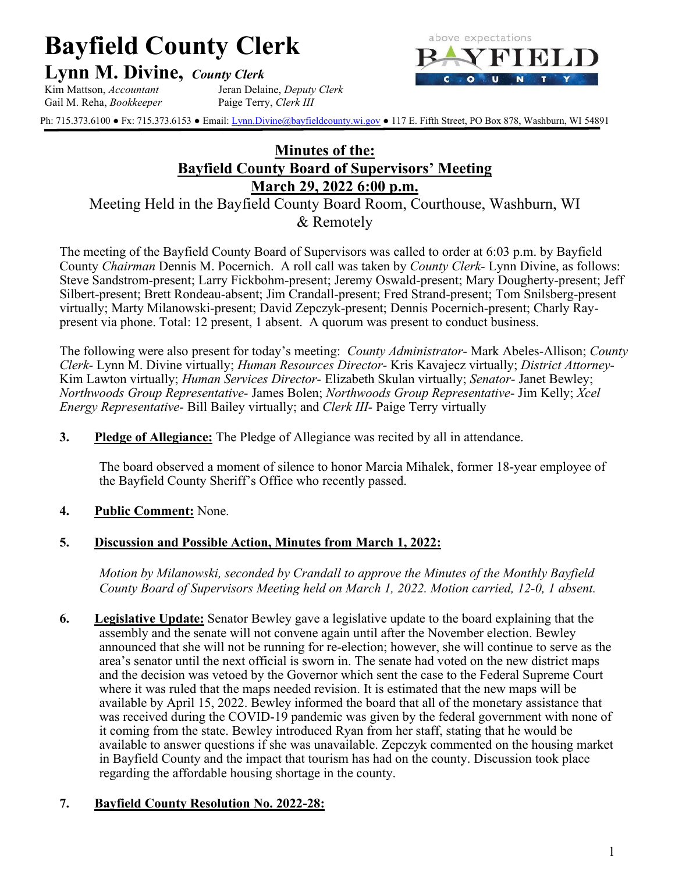# **Bayfield County Clerk**

**Lynn M. Divine,** *County Clerk*





Ph: 715.373.6100 • Fx: 715.373.6153 • Email: *Lynn.Divine@bayfieldcounty.wi.gov* • 117 E. Fifth Street, PO Box 878, Washburn, WI 54891

# **Minutes of the: Bayfield County Board of Supervisors' Meeting March 29, 2022 6:00 p.m.**

Meeting Held in the Bayfield County Board Room, Courthouse, Washburn, WI & Remotely

The meeting of the Bayfield County Board of Supervisors was called to order at 6:03 p.m. by Bayfield County *Chairman* Dennis M. Pocernich. A roll call was taken by *County Clerk-* Lynn Divine, as follows: Steve Sandstrom-present; Larry Fickbohm-present; Jeremy Oswald-present; Mary Dougherty-present; Jeff Silbert-present; Brett Rondeau-absent; Jim Crandall-present; Fred Strand-present; Tom Snilsberg-present virtually; Marty Milanowski-present; David Zepczyk-present; Dennis Pocernich-present; Charly Raypresent via phone. Total: 12 present, 1 absent. A quorum was present to conduct business.

The following were also present for today's meeting: *County Administrator-* Mark Abeles-Allison; *County Clerk-* Lynn M. Divine virtually; *Human Resources Director-* Kris Kavajecz virtually; *District Attorney-*Kim Lawton virtually; *Human Services Director-* Elizabeth Skulan virtually; *Senator-* Janet Bewley; *Northwoods Group Representative-* James Bolen; *Northwoods Group Representative-* Jim Kelly; *Xcel Energy Representative-* Bill Bailey virtually; and *Clerk III-* Paige Terry virtually

**3. Pledge of Allegiance:** The Pledge of Allegiance was recited by all in attendance.

The board observed a moment of silence to honor Marcia Mihalek, former 18-year employee of the Bayfield County Sheriff's Office who recently passed.

#### **4. Public Comment:** None.

#### **5. Discussion and Possible Action, Minutes from March 1, 2022:**

*Motion by Milanowski, seconded by Crandall to approve the Minutes of the Monthly Bayfield County Board of Supervisors Meeting held on March 1, 2022. Motion carried, 12-0, 1 absent.*

**6. Legislative Update:** Senator Bewley gave a legislative update to the board explaining that the assembly and the senate will not convene again until after the November election. Bewley announced that she will not be running for re-election; however, she will continue to serve as the area's senator until the next official is sworn in. The senate had voted on the new district maps and the decision was vetoed by the Governor which sent the case to the Federal Supreme Court where it was ruled that the maps needed revision. It is estimated that the new maps will be available by April 15, 2022. Bewley informed the board that all of the monetary assistance that was received during the COVID-19 pandemic was given by the federal government with none of it coming from the state. Bewley introduced Ryan from her staff, stating that he would be available to answer questions if she was unavailable. Zepczyk commented on the housing market in Bayfield County and the impact that tourism has had on the county. Discussion took place regarding the affordable housing shortage in the county.

#### **7. Bayfield County Resolution No. 2022-28:**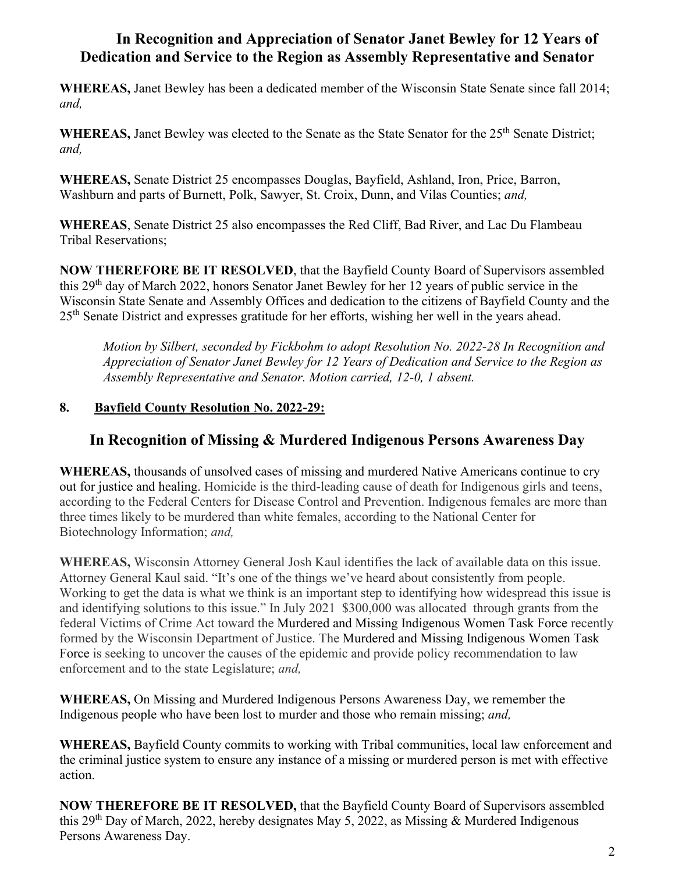# **In Recognition and Appreciation of Senator Janet Bewley for 12 Years of Dedication and Service to the Region as Assembly Representative and Senator**

**WHEREAS,** Janet Bewley has been a dedicated member of the Wisconsin State Senate since fall 2014; *and,*

WHEREAS, Janet Bewley was elected to the Senate as the State Senator for the 25<sup>th</sup> Senate District; *and,*

**WHEREAS,** Senate District 25 encompasses Douglas, Bayfield, Ashland, Iron, Price, Barron, Washburn and parts of Burnett, Polk, Sawyer, St. Croix, Dunn, and Vilas Counties; *and,*

**WHEREAS**, Senate District 25 also encompasses the Red Cliff, Bad River, and Lac Du Flambeau Tribal Reservations;

**NOW THEREFORE BE IT RESOLVED**, that the Bayfield County Board of Supervisors assembled this 29<sup>th</sup> day of March 2022, honors Senator Janet Bewley for her 12 years of public service in the Wisconsin State Senate and Assembly Offices and dedication to the citizens of Bayfield County and the 25<sup>th</sup> Senate District and expresses gratitude for her efforts, wishing her well in the years ahead.

*Motion by Silbert, seconded by Fickbohm to adopt Resolution No. 2022-28 In Recognition and Appreciation of Senator Janet Bewley for 12 Years of Dedication and Service to the Region as Assembly Representative and Senator. Motion carried, 12-0, 1 absent.*

## **8. Bayfield County Resolution No. 2022-29:**

# **In Recognition of Missing & Murdered Indigenous Persons Awareness Day**

**WHEREAS,** thousands of unsolved cases of missing and murdered Native Americans continue to cry out for justice and healing. Homicide is the third-leading cause of death for Indigenous girls and teens, according to the Federal Centers for Disease Control and Prevention. Indigenous females are more than three times likely to be murdered than white females, according to the National Center for Biotechnology Information; *and,*

**WHEREAS,** Wisconsin Attorney General Josh Kaul identifies the lack of available data on this issue. Attorney General Kaul said. "It's one of the things we've heard about consistently from people. Working to get the data is what we think is an important step to identifying how widespread this issue is and identifying solutions to this issue." In July 2021 \$300,000 was allocated through grants from the federal Victims of Crime Act toward the [Murdered and Missing Indigenous Women Task Force](https://www.greenbaypressgazette.com/story/news/native-american-issues/2021/03/25/katelyn-kelley-body-found-menominee-reservation-wisconsin-mmiw/6982084002/) recently formed by the Wisconsin Department of Justice. The [Murdered and Missing Indigenous Women Task](https://www.greenbaypressgazette.com/story/news/native-american-issues/2021/03/25/katelyn-kelley-body-found-menominee-reservation-wisconsin-mmiw/6982084002/)  [Force](https://www.greenbaypressgazette.com/story/news/native-american-issues/2021/03/25/katelyn-kelley-body-found-menominee-reservation-wisconsin-mmiw/6982084002/) is seeking to uncover the causes of the epidemic and provide policy recommendation to law enforcement and to the state Legislature; *and,*

**WHEREAS,** On Missing and Murdered Indigenous Persons Awareness Day, we remember the Indigenous people who have been lost to murder and those who remain missing; *and,*

**WHEREAS,** Bayfield County commits to working with Tribal communities, local law enforcement and the criminal justice system to ensure any instance of a missing or murdered person is met with effective action.

**NOW THEREFORE BE IT RESOLVED,** that the Bayfield County Board of Supervisors assembled this 29<sup>th</sup> Day of March, 2022, hereby designates May 5, 2022, as Missing & Murdered Indigenous Persons Awareness Day.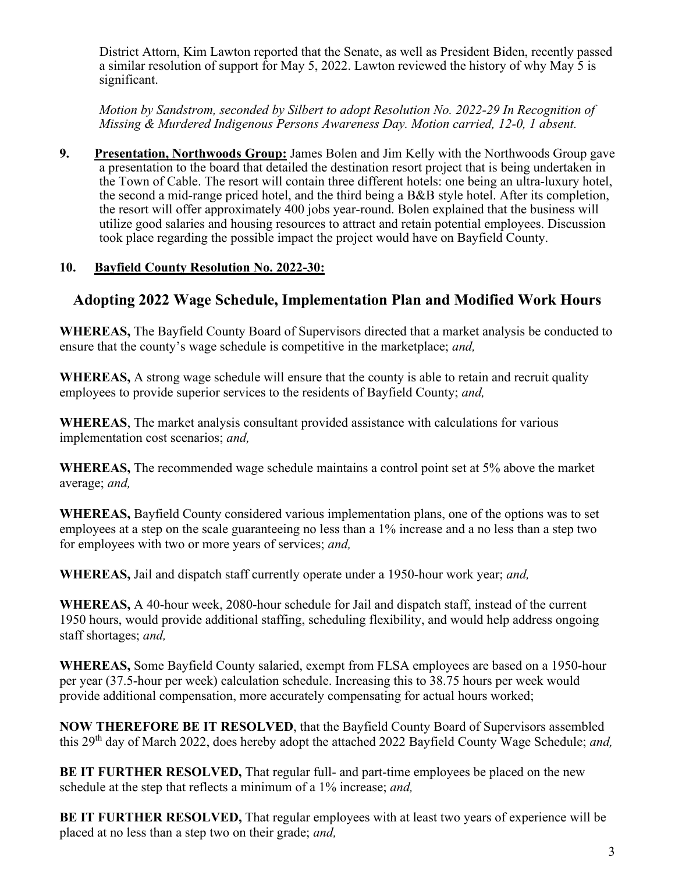District Attorn, Kim Lawton reported that the Senate, as well as President Biden, recently passed a similar resolution of support for May 5, 2022. Lawton reviewed the history of why May 5 is significant.

*Motion by Sandstrom, seconded by Silbert to adopt Resolution No. 2022-29 In Recognition of Missing & Murdered Indigenous Persons Awareness Day. Motion carried, 12-0, 1 absent.*

**9. Presentation, Northwoods Group:** James Bolen and Jim Kelly with the Northwoods Group gave a presentation to the board that detailed the destination resort project that is being undertaken in the Town of Cable. The resort will contain three different hotels: one being an ultra-luxury hotel, the second a mid-range priced hotel, and the third being a B&B style hotel. After its completion, the resort will offer approximately 400 jobs year-round. Bolen explained that the business will utilize good salaries and housing resources to attract and retain potential employees. Discussion took place regarding the possible impact the project would have on Bayfield County.

## **10. Bayfield County Resolution No. 2022-30:**

## **Adopting 2022 Wage Schedule, Implementation Plan and Modified Work Hours**

**WHEREAS,** The Bayfield County Board of Supervisors directed that a market analysis be conducted to ensure that the county's wage schedule is competitive in the marketplace; *and,*

**WHEREAS,** A strong wage schedule will ensure that the county is able to retain and recruit quality employees to provide superior services to the residents of Bayfield County; *and,*

**WHEREAS**, The market analysis consultant provided assistance with calculations for various implementation cost scenarios; *and,*

**WHEREAS,** The recommended wage schedule maintains a control point set at 5% above the market average; *and,*

**WHEREAS,** Bayfield County considered various implementation plans, one of the options was to set employees at a step on the scale guaranteeing no less than a 1% increase and a no less than a step two for employees with two or more years of services; *and,*

**WHEREAS,** Jail and dispatch staff currently operate under a 1950-hour work year; *and,* 

**WHEREAS,** A 40-hour week, 2080-hour schedule for Jail and dispatch staff, instead of the current 1950 hours, would provide additional staffing, scheduling flexibility, and would help address ongoing staff shortages; *and,*

**WHEREAS,** Some Bayfield County salaried, exempt from FLSA employees are based on a 1950-hour per year (37.5-hour per week) calculation schedule. Increasing this to 38.75 hours per week would provide additional compensation, more accurately compensating for actual hours worked;

**NOW THEREFORE BE IT RESOLVED**, that the Bayfield County Board of Supervisors assembled this 29th day of March 2022, does hereby adopt the attached 2022 Bayfield County Wage Schedule; *and,*

**BE IT FURTHER RESOLVED,** That regular full- and part-time employees be placed on the new schedule at the step that reflects a minimum of a 1% increase; *and,*

**BE IT FURTHER RESOLVED,** That regular employees with at least two years of experience will be placed at no less than a step two on their grade; *and,*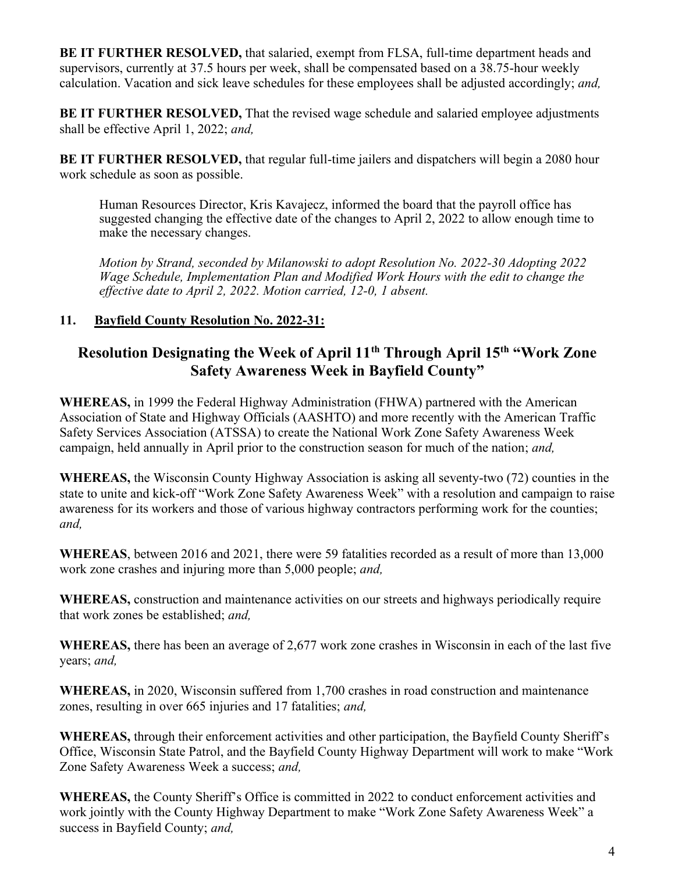**BE IT FURTHER RESOLVED,** that salaried, exempt from FLSA, full-time department heads and supervisors, currently at 37.5 hours per week, shall be compensated based on a 38.75-hour weekly calculation. Vacation and sick leave schedules for these employees shall be adjusted accordingly; *and,*

**BE IT FURTHER RESOLVED,** That the revised wage schedule and salaried employee adjustments shall be effective April 1, 2022; *and,*

**BE IT FURTHER RESOLVED, that regular full-time jailers and dispatchers will begin a 2080 hour** work schedule as soon as possible.

Human Resources Director, Kris Kavajecz, informed the board that the payroll office has suggested changing the effective date of the changes to April 2, 2022 to allow enough time to make the necessary changes.

*Motion by Strand, seconded by Milanowski to adopt Resolution No. 2022-30 Adopting 2022 Wage Schedule, Implementation Plan and Modified Work Hours with the edit to change the effective date to April 2, 2022. Motion carried, 12-0, 1 absent.*

## **11. Bayfield County Resolution No. 2022-31:**

# **Resolution Designating the Week of April 11th Through April 15th "Work Zone Safety Awareness Week in Bayfield County"**

**WHEREAS,** in 1999 the Federal Highway Administration (FHWA) partnered with the American Association of State and Highway Officials (AASHTO) and more recently with the American Traffic Safety Services Association (ATSSA) to create the National Work Zone Safety Awareness Week campaign, held annually in April prior to the construction season for much of the nation; *and,*

**WHEREAS,** the Wisconsin County Highway Association is asking all seventy-two (72) counties in the state to unite and kick-off "Work Zone Safety Awareness Week" with a resolution and campaign to raise awareness for its workers and those of various highway contractors performing work for the counties; *and,*

**WHEREAS**, between 2016 and 2021, there were 59 fatalities recorded as a result of more than 13,000 work zone crashes and injuring more than 5,000 people; *and,*

**WHEREAS,** construction and maintenance activities on our streets and highways periodically require that work zones be established; *and,*

**WHEREAS,** there has been an average of 2,677 work zone crashes in Wisconsin in each of the last five years; *and,* 

**WHEREAS,** in 2020, Wisconsin suffered from 1,700 crashes in road construction and maintenance zones, resulting in over 665 injuries and 17 fatalities; *and,*

**WHEREAS,** through their enforcement activities and other participation, the Bayfield County Sheriff's Office, Wisconsin State Patrol, and the Bayfield County Highway Department will work to make "Work Zone Safety Awareness Week a success; *and,*

**WHEREAS,** the County Sheriff's Office is committed in 2022 to conduct enforcement activities and work jointly with the County Highway Department to make "Work Zone Safety Awareness Week" a success in Bayfield County; *and,*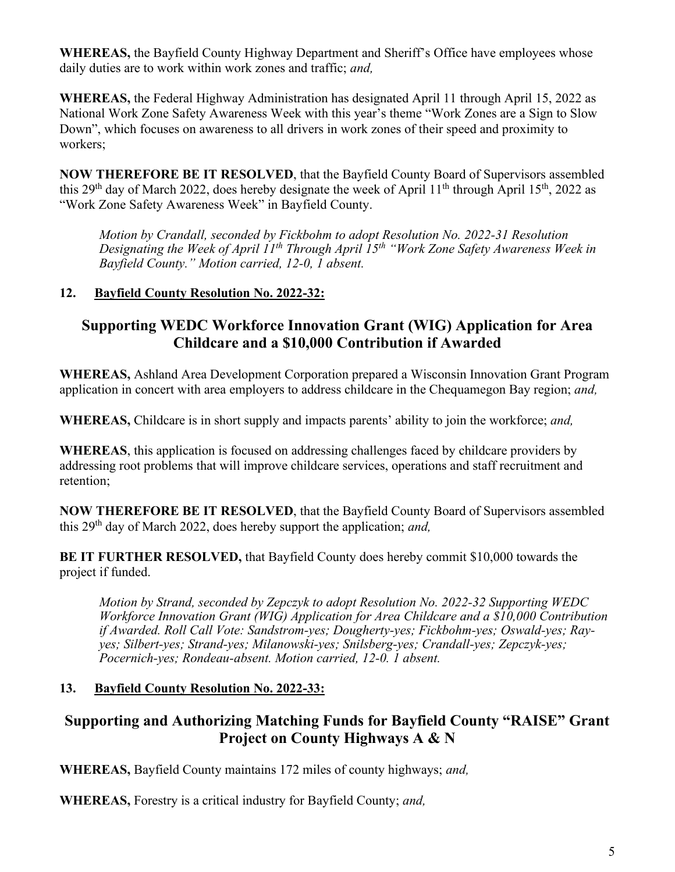**WHEREAS,** the Bayfield County Highway Department and Sheriff's Office have employees whose daily duties are to work within work zones and traffic; *and,*

**WHEREAS,** the Federal Highway Administration has designated April 11 through April 15, 2022 as National Work Zone Safety Awareness Week with this year's theme "Work Zones are a Sign to Slow Down", which focuses on awareness to all drivers in work zones of their speed and proximity to workers;

**NOW THEREFORE BE IT RESOLVED**, that the Bayfield County Board of Supervisors assembled this 29<sup>th</sup> day of March 2022, does hereby designate the week of April 11<sup>th</sup> through April 15<sup>th</sup>, 2022 as "Work Zone Safety Awareness Week" in Bayfield County.

*Motion by Crandall, seconded by Fickbohm to adopt Resolution No. 2022-31 Resolution Designating the Week of April 11th Through April 15th "Work Zone Safety Awareness Week in Bayfield County." Motion carried, 12-0, 1 absent.*

## **12. Bayfield County Resolution No. 2022-32:**

# **Supporting WEDC Workforce Innovation Grant (WIG) Application for Area Childcare and a \$10,000 Contribution if Awarded**

**WHEREAS,** Ashland Area Development Corporation prepared a Wisconsin Innovation Grant Program application in concert with area employers to address childcare in the Chequamegon Bay region; *and,*

**WHEREAS,** Childcare is in short supply and impacts parents' ability to join the workforce; *and,*

**WHEREAS**, this application is focused on addressing challenges faced by childcare providers by addressing root problems that will improve childcare services, operations and staff recruitment and retention;

**NOW THEREFORE BE IT RESOLVED**, that the Bayfield County Board of Supervisors assembled this 29<sup>th</sup> day of March 2022, does hereby support the application; *and*,

**BE IT FURTHER RESOLVED,** that Bayfield County does hereby commit \$10,000 towards the project if funded.

*Motion by Strand, seconded by Zepczyk to adopt Resolution No. 2022-32 Supporting WEDC Workforce Innovation Grant (WIG) Application for Area Childcare and a \$10,000 Contribution if Awarded. Roll Call Vote: Sandstrom-yes; Dougherty-yes; Fickbohm-yes; Oswald-yes; Rayyes; Silbert-yes; Strand-yes; Milanowski-yes; Snilsberg-yes; Crandall-yes; Zepczyk-yes; Pocernich-yes; Rondeau-absent. Motion carried, 12-0. 1 absent.*

## **13. Bayfield County Resolution No. 2022-33:**

# **Supporting and Authorizing Matching Funds for Bayfield County "RAISE" Grant Project on County Highways A & N**

**WHEREAS,** Bayfield County maintains 172 miles of county highways; *and,*

**WHEREAS,** Forestry is a critical industry for Bayfield County; *and,*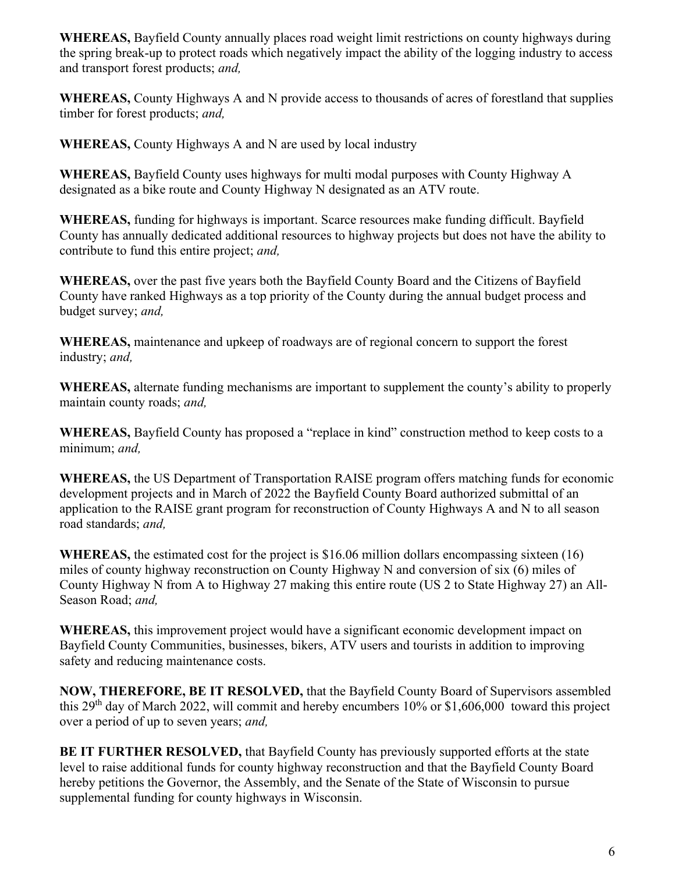**WHEREAS,** Bayfield County annually places road weight limit restrictions on county highways during the spring break-up to protect roads which negatively impact the ability of the logging industry to access and transport forest products; *and,*

**WHEREAS,** County Highways A and N provide access to thousands of acres of forestland that supplies timber for forest products; *and,*

**WHEREAS,** County Highways A and N are used by local industry

**WHEREAS,** Bayfield County uses highways for multi modal purposes with County Highway A designated as a bike route and County Highway N designated as an ATV route.

**WHEREAS,** funding for highways is important. Scarce resources make funding difficult. Bayfield County has annually dedicated additional resources to highway projects but does not have the ability to contribute to fund this entire project; *and,*

**WHEREAS,** over the past five years both the Bayfield County Board and the Citizens of Bayfield County have ranked Highways as a top priority of the County during the annual budget process and budget survey; *and,*

**WHEREAS,** maintenance and upkeep of roadways are of regional concern to support the forest industry; *and,*

**WHEREAS,** alternate funding mechanisms are important to supplement the county's ability to properly maintain county roads; *and,*

**WHEREAS,** Bayfield County has proposed a "replace in kind" construction method to keep costs to a minimum; *and,*

**WHEREAS,** the US Department of Transportation RAISE program offers matching funds for economic development projects and in March of 2022 the Bayfield County Board authorized submittal of an application to the RAISE grant program for reconstruction of County Highways A and N to all season road standards; *and,* 

**WHEREAS,** the estimated cost for the project is \$16.06 million dollars encompassing sixteen (16) miles of county highway reconstruction on County Highway N and conversion of six (6) miles of County Highway N from A to Highway 27 making this entire route (US 2 to State Highway 27) an All-Season Road; *and,*

**WHEREAS,** this improvement project would have a significant economic development impact on Bayfield County Communities, businesses, bikers, ATV users and tourists in addition to improving safety and reducing maintenance costs.

**NOW, THEREFORE, BE IT RESOLVED,** that the Bayfield County Board of Supervisors assembled this 29<sup>th</sup> day of March 2022, will commit and hereby encumbers 10% or \$1,606,000 toward this project over a period of up to seven years; *and,*

**BE IT FURTHER RESOLVED,** that Bayfield County has previously supported efforts at the state level to raise additional funds for county highway reconstruction and that the Bayfield County Board hereby petitions the Governor, the Assembly, and the Senate of the State of Wisconsin to pursue supplemental funding for county highways in Wisconsin.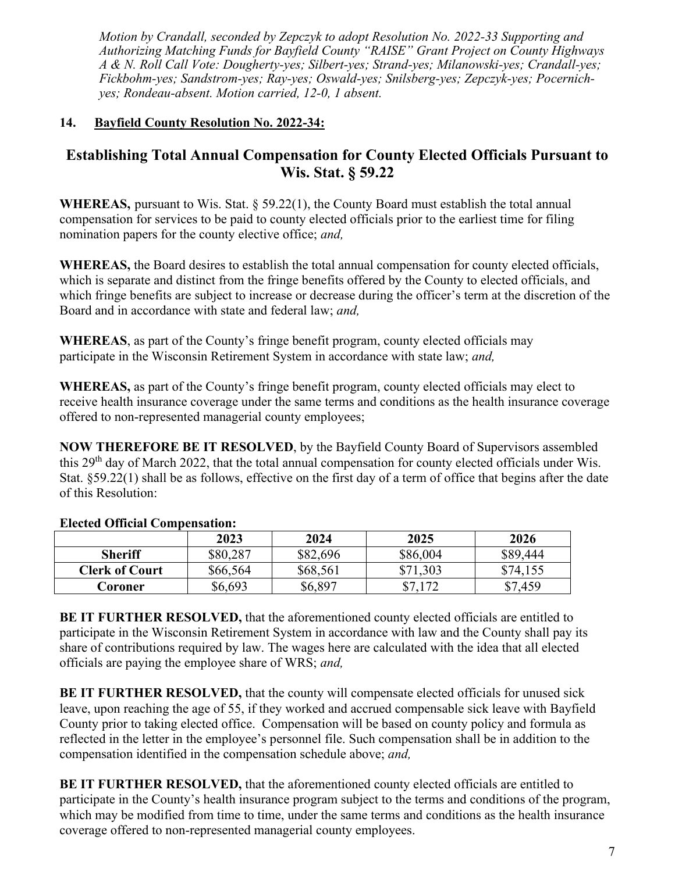*Motion by Crandall, seconded by Zepczyk to adopt Resolution No. 2022-33 Supporting and Authorizing Matching Funds for Bayfield County "RAISE" Grant Project on County Highways A & N. Roll Call Vote: Dougherty-yes; Silbert-yes; Strand-yes; Milanowski-yes; Crandall-yes; Fickbohm-yes; Sandstrom-yes; Ray-yes; Oswald-yes; Snilsberg-yes; Zepczyk-yes; Pocernichyes; Rondeau-absent. Motion carried, 12-0, 1 absent.*

## **14. Bayfield County Resolution No. 2022-34:**

# **Establishing Total Annual Compensation for County Elected Officials Pursuant to Wis. Stat. § 59.22**

**WHEREAS,** pursuant to Wis. Stat. § 59.22(1), the County Board must establish the total annual compensation for services to be paid to county elected officials prior to the earliest time for filing nomination papers for the county elective office; *and,*

**WHEREAS,** the Board desires to establish the total annual compensation for county elected officials, which is separate and distinct from the fringe benefits offered by the County to elected officials, and which fringe benefits are subject to increase or decrease during the officer's term at the discretion of the Board and in accordance with state and federal law; *and,*

**WHEREAS**, as part of the County's fringe benefit program, county elected officials may participate in the Wisconsin Retirement System in accordance with state law; *and,*

**WHEREAS,** as part of the County's fringe benefit program, county elected officials may elect to receive health insurance coverage under the same terms and conditions as the health insurance coverage offered to non-represented managerial county employees;

**NOW THEREFORE BE IT RESOLVED**, by the Bayfield County Board of Supervisors assembled this 29th day of March 2022, that the total annual compensation for county elected officials under Wis. Stat. §59.22(1) shall be as follows, effective on the first day of a term of office that begins after the date of this Resolution:

|                       | 2023     | 2024     | 2025     | 2026     |
|-----------------------|----------|----------|----------|----------|
| <b>Sheriff</b>        | \$80,287 | \$82,696 | \$86,004 | \$89,444 |
| <b>Clerk of Court</b> | \$66,564 | \$68,561 | \$71,303 | \$74,155 |
| Coroner               | \$6,693  | \$6,897  | 172      | \$7,459  |

#### **Elected Official Compensation:**

**BE IT FURTHER RESOLVED,** that the aforementioned county elected officials are entitled to participate in the Wisconsin Retirement System in accordance with law and the County shall pay its share of contributions required by law. The wages here are calculated with the idea that all elected officials are paying the employee share of WRS; *and,*

**BE IT FURTHER RESOLVED,** that the county will compensate elected officials for unused sick leave, upon reaching the age of 55, if they worked and accrued compensable sick leave with Bayfield County prior to taking elected office. Compensation will be based on county policy and formula as reflected in the letter in the employee's personnel file. Such compensation shall be in addition to the compensation identified in the compensation schedule above; *and,*

**BE IT FURTHER RESOLVED,** that the aforementioned county elected officials are entitled to participate in the County's health insurance program subject to the terms and conditions of the program, which may be modified from time to time, under the same terms and conditions as the health insurance coverage offered to non-represented managerial county employees.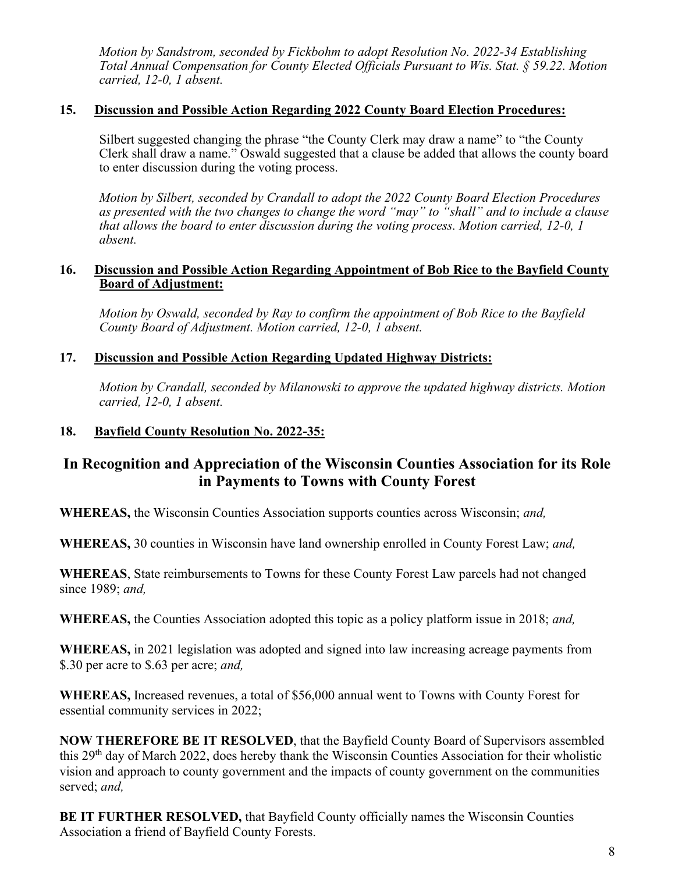*Motion by Sandstrom, seconded by Fickbohm to adopt Resolution No. 2022-34 Establishing Total Annual Compensation for County Elected Officials Pursuant to Wis. Stat. § 59.22. Motion carried, 12-0, 1 absent.*

#### **15. Discussion and Possible Action Regarding 2022 County Board Election Procedures:**

Silbert suggested changing the phrase "the County Clerk may draw a name" to "the County Clerk shall draw a name." Oswald suggested that a clause be added that allows the county board to enter discussion during the voting process.

*Motion by Silbert, seconded by Crandall to adopt the 2022 County Board Election Procedures as presented with the two changes to change the word "may" to "shall" and to include a clause that allows the board to enter discussion during the voting process. Motion carried, 12-0, 1 absent.*

#### **16. Discussion and Possible Action Regarding Appointment of Bob Rice to the Bayfield County Board of Adjustment:**

*Motion by Oswald, seconded by Ray to confirm the appointment of Bob Rice to the Bayfield County Board of Adjustment. Motion carried, 12-0, 1 absent.*

#### **17. Discussion and Possible Action Regarding Updated Highway Districts:**

*Motion by Crandall, seconded by Milanowski to approve the updated highway districts. Motion carried, 12-0, 1 absent.*

#### **18. Bayfield County Resolution No. 2022-35:**

## **In Recognition and Appreciation of the Wisconsin Counties Association for its Role in Payments to Towns with County Forest**

**WHEREAS,** the Wisconsin Counties Association supports counties across Wisconsin; *and,*

**WHEREAS,** 30 counties in Wisconsin have land ownership enrolled in County Forest Law; *and,*

**WHEREAS**, State reimbursements to Towns for these County Forest Law parcels had not changed since 1989; *and,*

**WHEREAS,** the Counties Association adopted this topic as a policy platform issue in 2018; *and,*

**WHEREAS,** in 2021 legislation was adopted and signed into law increasing acreage payments from \$.30 per acre to \$.63 per acre; *and,* 

**WHEREAS,** Increased revenues, a total of \$56,000 annual went to Towns with County Forest for essential community services in 2022;

**NOW THEREFORE BE IT RESOLVED**, that the Bayfield County Board of Supervisors assembled this 29th day of March 2022, does hereby thank the Wisconsin Counties Association for their wholistic vision and approach to county government and the impacts of county government on the communities served; *and,*

**BE IT FURTHER RESOLVED,** that Bayfield County officially names the Wisconsin Counties Association a friend of Bayfield County Forests.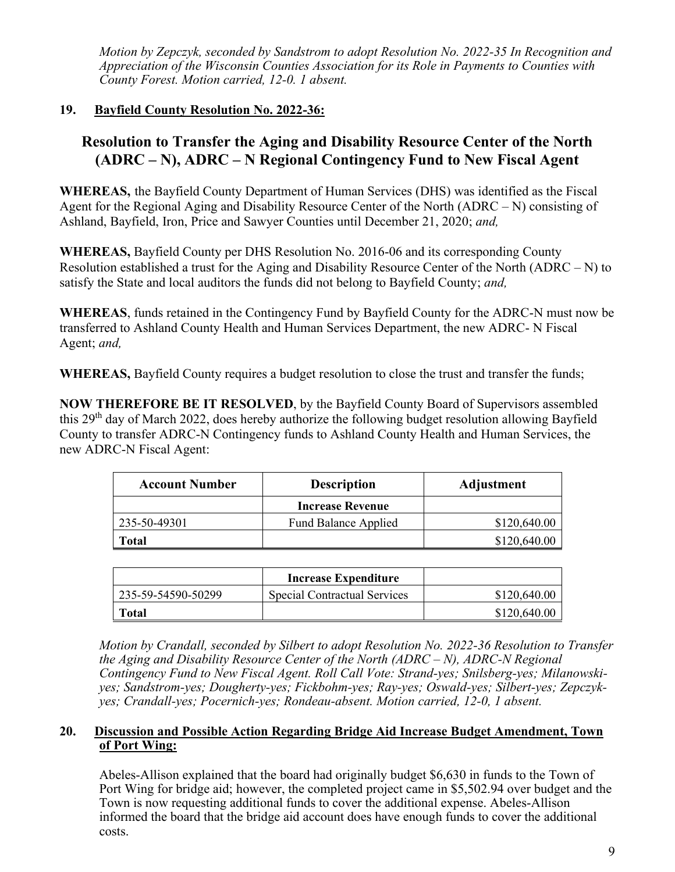*Motion by Zepczyk, seconded by Sandstrom to adopt Resolution No. 2022-35 In Recognition and Appreciation of the Wisconsin Counties Association for its Role in Payments to Counties with County Forest. Motion carried, 12-0. 1 absent.*

## **19. Bayfield County Resolution No. 2022-36:**

# **Resolution to Transfer the Aging and Disability Resource Center of the North (ADRC – N), ADRC – N Regional Contingency Fund to New Fiscal Agent**

**WHEREAS,** the Bayfield County Department of Human Services (DHS) was identified as the Fiscal Agent for the Regional Aging and Disability Resource Center of the North (ADRC – N) consisting of Ashland, Bayfield, Iron, Price and Sawyer Counties until December 21, 2020; *and,*

**WHEREAS,** Bayfield County per DHS Resolution No. 2016-06 and its corresponding County Resolution established a trust for the Aging and Disability Resource Center of the North (ADRC – N) to satisfy the State and local auditors the funds did not belong to Bayfield County; *and,*

**WHEREAS**, funds retained in the Contingency Fund by Bayfield County for the ADRC-N must now be transferred to Ashland County Health and Human Services Department, the new ADRC- N Fiscal Agent; *and,*

**WHEREAS,** Bayfield County requires a budget resolution to close the trust and transfer the funds;

**NOW THEREFORE BE IT RESOLVED**, by the Bayfield County Board of Supervisors assembled this 29<sup>th</sup> day of March 2022, does hereby authorize the following budget resolution allowing Bayfield County to transfer ADRC-N Contingency funds to Ashland County Health and Human Services, the new ADRC-N Fiscal Agent:

| <b>Account Number</b> | <b>Description</b>          | Adjustment   |
|-----------------------|-----------------------------|--------------|
|                       | <b>Increase Revenue</b>     |              |
| 235-50-49301          | <b>Fund Balance Applied</b> | \$120,640.00 |
| Total                 |                             | \$120,640.00 |

|                    | <b>Increase Expenditure</b>  |              |
|--------------------|------------------------------|--------------|
| 235-59-54590-50299 | Special Contractual Services | \$120,640.00 |
| <b>Total</b>       |                              | \$120,640.00 |

*Motion by Crandall, seconded by Silbert to adopt Resolution No. 2022-36 Resolution to Transfer the Aging and Disability Resource Center of the North (ADRC – N), ADRC-N Regional Contingency Fund to New Fiscal Agent. Roll Call Vote: Strand-yes; Snilsberg-yes; Milanowskiyes; Sandstrom-yes; Dougherty-yes; Fickbohm-yes; Ray-yes; Oswald-yes; Silbert-yes; Zepczykyes; Crandall-yes; Pocernich-yes; Rondeau-absent. Motion carried, 12-0, 1 absent.*

#### **20. Discussion and Possible Action Regarding Bridge Aid Increase Budget Amendment, Town of Port Wing:**

Abeles-Allison explained that the board had originally budget \$6,630 in funds to the Town of Port Wing for bridge aid; however, the completed project came in \$5,502.94 over budget and the Town is now requesting additional funds to cover the additional expense. Abeles-Allison informed the board that the bridge aid account does have enough funds to cover the additional costs.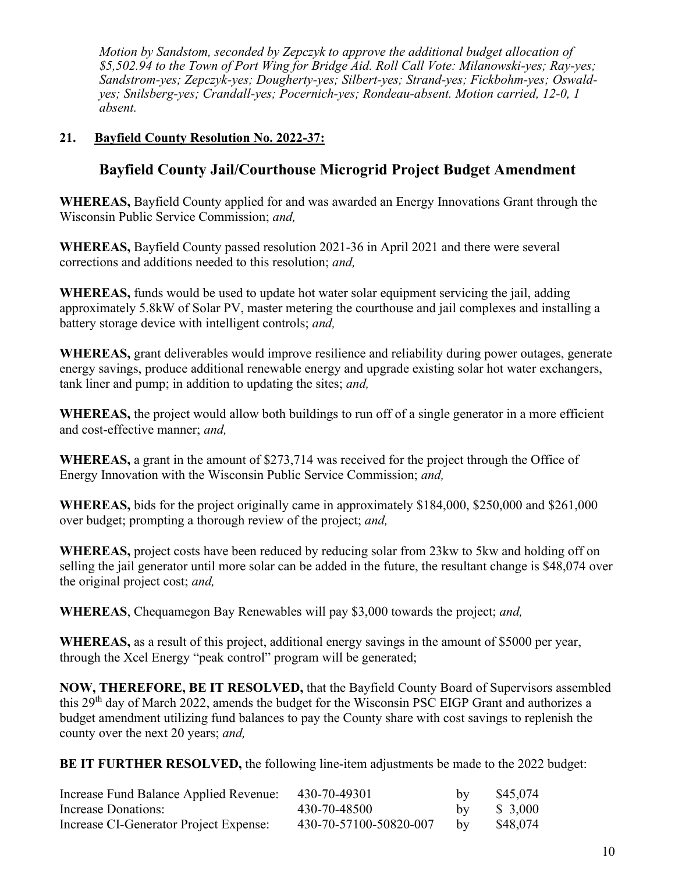*Motion by Sandstom, seconded by Zepczyk to approve the additional budget allocation of \$5,502.94 to the Town of Port Wing for Bridge Aid. Roll Call Vote: Milanowski-yes; Ray-yes; Sandstrom-yes; Zepczyk-yes; Dougherty-yes; Silbert-yes; Strand-yes; Fickbohm-yes; Oswaldyes; Snilsberg-yes; Crandall-yes; Pocernich-yes; Rondeau-absent. Motion carried, 12-0, 1 absent.*

#### **21. Bayfield County Resolution No. 2022-37:**

# **Bayfield County Jail/Courthouse Microgrid Project Budget Amendment**

**WHEREAS,** Bayfield County applied for and was awarded an Energy Innovations Grant through the Wisconsin Public Service Commission; *and,*

**WHEREAS,** Bayfield County passed resolution 2021-36 in April 2021 and there were several corrections and additions needed to this resolution; *and,*

**WHEREAS,** funds would be used to update hot water solar equipment servicing the jail, adding approximately 5.8kW of Solar PV, master metering the courthouse and jail complexes and installing a battery storage device with intelligent controls; *and,*

**WHEREAS,** grant deliverables would improve resilience and reliability during power outages, generate energy savings, produce additional renewable energy and upgrade existing solar hot water exchangers, tank liner and pump; in addition to updating the sites; *and,*

**WHEREAS,** the project would allow both buildings to run off of a single generator in a more efficient and cost-effective manner; *and,*

**WHEREAS,** a grant in the amount of \$273,714 was received for the project through the Office of Energy Innovation with the Wisconsin Public Service Commission; *and,*

**WHEREAS,** bids for the project originally came in approximately \$184,000, \$250,000 and \$261,000 over budget; prompting a thorough review of the project; *and,*

**WHEREAS,** project costs have been reduced by reducing solar from 23kw to 5kw and holding off on selling the jail generator until more solar can be added in the future, the resultant change is \$48,074 over the original project cost; *and,*

**WHEREAS**, Chequamegon Bay Renewables will pay \$3,000 towards the project; *and,*

**WHEREAS,** as a result of this project, additional energy savings in the amount of \$5000 per year, through the Xcel Energy "peak control" program will be generated;

**NOW, THEREFORE, BE IT RESOLVED,** that the Bayfield County Board of Supervisors assembled this 29<sup>th</sup> day of March 2022, amends the budget for the Wisconsin PSC EIGP Grant and authorizes a budget amendment utilizing fund balances to pay the County share with cost savings to replenish the county over the next 20 years; *and,*

**BE IT FURTHER RESOLVED, the following line-item adjustments be made to the 2022 budget:** 

| Increase Fund Balance Applied Revenue: | 430-70-49301           | by | \$45,074 |
|----------------------------------------|------------------------|----|----------|
| Increase Donations:                    | 430-70-48500           | bv | \$ 3,000 |
| Increase CI-Generator Project Expense: | 430-70-57100-50820-007 | bv | \$48,074 |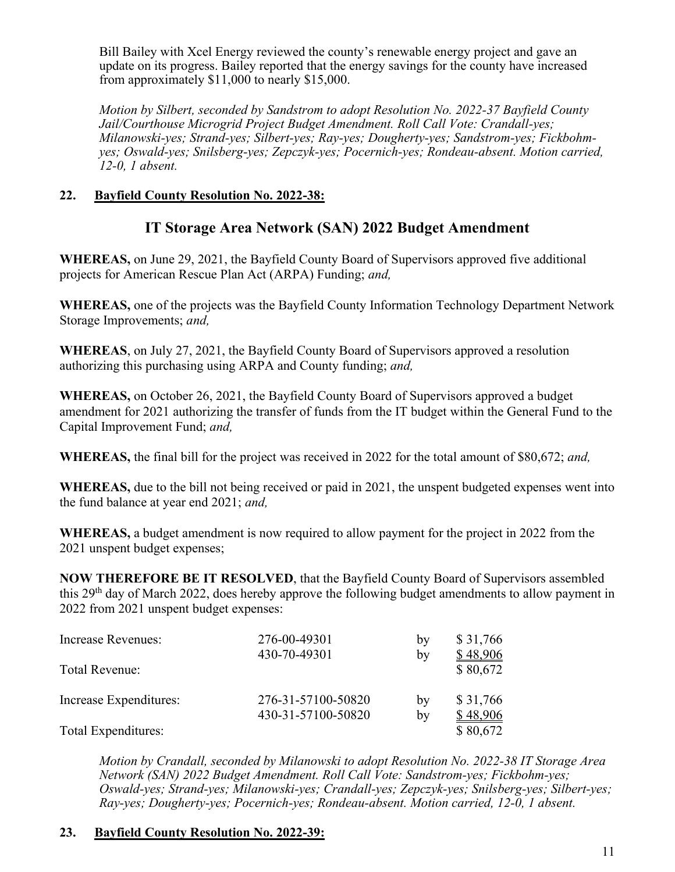Bill Bailey with Xcel Energy reviewed the county's renewable energy project and gave an update on its progress. Bailey reported that the energy savings for the county have increased from approximately \$11,000 to nearly \$15,000.

*Motion by Silbert, seconded by Sandstrom to adopt Resolution No. 2022-37 Bayfield County Jail/Courthouse Microgrid Project Budget Amendment. Roll Call Vote: Crandall-yes; Milanowski-yes; Strand-yes; Silbert-yes; Ray-yes; Dougherty-yes; Sandstrom-yes; Fickbohmyes; Oswald-yes; Snilsberg-yes; Zepczyk-yes; Pocernich-yes; Rondeau-absent. Motion carried, 12-0, 1 absent.*

#### **22. Bayfield County Resolution No. 2022-38:**

## **IT Storage Area Network (SAN) 2022 Budget Amendment**

**WHEREAS,** on June 29, 2021, the Bayfield County Board of Supervisors approved five additional projects for American Rescue Plan Act (ARPA) Funding; *and,*

**WHEREAS,** one of the projects was the Bayfield County Information Technology Department Network Storage Improvements; *and,*

**WHEREAS**, on July 27, 2021, the Bayfield County Board of Supervisors approved a resolution authorizing this purchasing using ARPA and County funding; *and,*

**WHEREAS,** on October 26, 2021, the Bayfield County Board of Supervisors approved a budget amendment for 2021 authorizing the transfer of funds from the IT budget within the General Fund to the Capital Improvement Fund; *and,*

**WHEREAS,** the final bill for the project was received in 2022 for the total amount of \$80,672; *and,* 

**WHEREAS,** due to the bill not being received or paid in 2021, the unspent budgeted expenses went into the fund balance at year end 2021; *and,*

**WHEREAS,** a budget amendment is now required to allow payment for the project in 2022 from the 2021 unspent budget expenses;

**NOW THEREFORE BE IT RESOLVED**, that the Bayfield County Board of Supervisors assembled this  $29<sup>th</sup>$  day of March 2022, does hereby approve the following budget amendments to allow payment in 2022 from 2021 unspent budget expenses:

| Increase Revenues:     | 276-00-49301<br>430-70-49301 | by<br>by | \$31,766<br>\$48,906 |
|------------------------|------------------------------|----------|----------------------|
| Total Revenue:         |                              |          | \$80,672             |
| Increase Expenditures: | 276-31-57100-50820           | by       | \$31,766             |
|                        | 430-31-57100-50820           | by       | \$48,906             |
| Total Expenditures:    |                              |          | \$80,672             |

*Motion by Crandall, seconded by Milanowski to adopt Resolution No. 2022-38 IT Storage Area Network (SAN) 2022 Budget Amendment. Roll Call Vote: Sandstrom-yes; Fickbohm-yes; Oswald-yes; Strand-yes; Milanowski-yes; Crandall-yes; Zepczyk-yes; Snilsberg-yes; Silbert-yes; Ray-yes; Dougherty-yes; Pocernich-yes; Rondeau-absent. Motion carried, 12-0, 1 absent.*

#### **23. Bayfield County Resolution No. 2022-39:**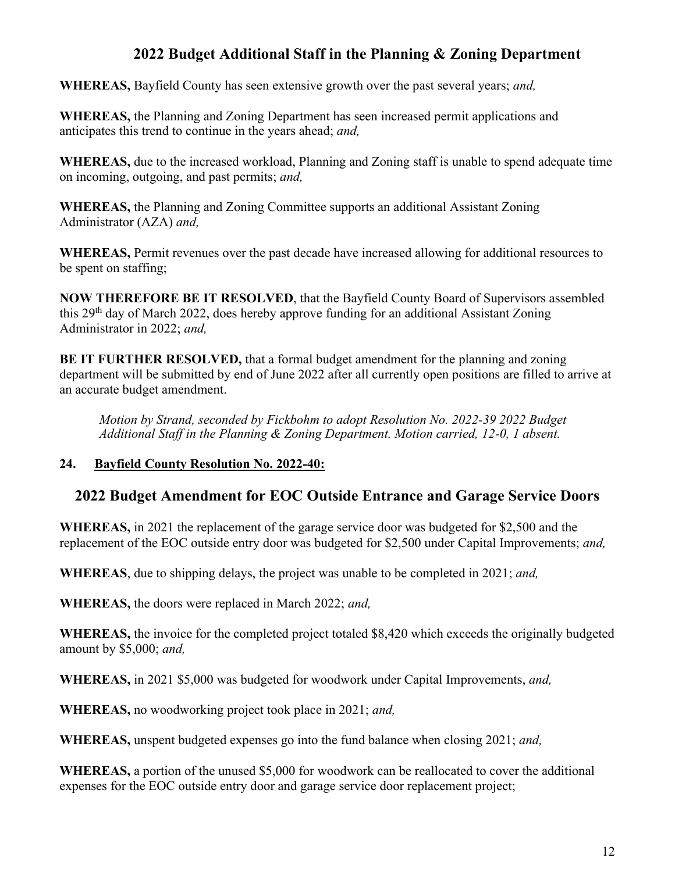# **2022 Budget Additional Staff in the Planning & Zoning Department**

**WHEREAS,** Bayfield County has seen extensive growth over the past several years; *and,*

**WHEREAS,** the Planning and Zoning Department has seen increased permit applications and anticipates this trend to continue in the years ahead; *and,*

**WHEREAS,** due to the increased workload, Planning and Zoning staff is unable to spend adequate time on incoming, outgoing, and past permits; *and,*

**WHEREAS,** the Planning and Zoning Committee supports an additional Assistant Zoning Administrator (AZA) *and,*

**WHEREAS,** Permit revenues over the past decade have increased allowing for additional resources to be spent on staffing;

**NOW THEREFORE BE IT RESOLVED**, that the Bayfield County Board of Supervisors assembled this 29<sup>th</sup> day of March 2022, does hereby approve funding for an additional Assistant Zoning Administrator in 2022; *and,*

**BE IT FURTHER RESOLVED,** that a formal budget amendment for the planning and zoning department will be submitted by end of June 2022 after all currently open positions are filled to arrive at an accurate budget amendment.

*Motion by Strand, seconded by Fickbohm to adopt Resolution No. 2022-39 2022 Budget Additional Staff in the Planning & Zoning Department. Motion carried, 12-0, 1 absent.*

#### **24. Bayfield County Resolution No. 2022-40:**

## **2022 Budget Amendment for EOC Outside Entrance and Garage Service Doors**

**WHEREAS,** in 2021 the replacement of the garage service door was budgeted for \$2,500 and the replacement of the EOC outside entry door was budgeted for \$2,500 under Capital Improvements; *and,*

**WHEREAS**, due to shipping delays, the project was unable to be completed in 2021; *and,*

**WHEREAS,** the doors were replaced in March 2022; *and,*

**WHEREAS,** the invoice for the completed project totaled \$8,420 which exceeds the originally budgeted amount by \$5,000; *and,* 

**WHEREAS,** in 2021 \$5,000 was budgeted for woodwork under Capital Improvements, *and,*

**WHEREAS,** no woodworking project took place in 2021; *and,*

**WHEREAS,** unspent budgeted expenses go into the fund balance when closing 2021; *and,*

**WHEREAS,** a portion of the unused \$5,000 for woodwork can be reallocated to cover the additional expenses for the EOC outside entry door and garage service door replacement project;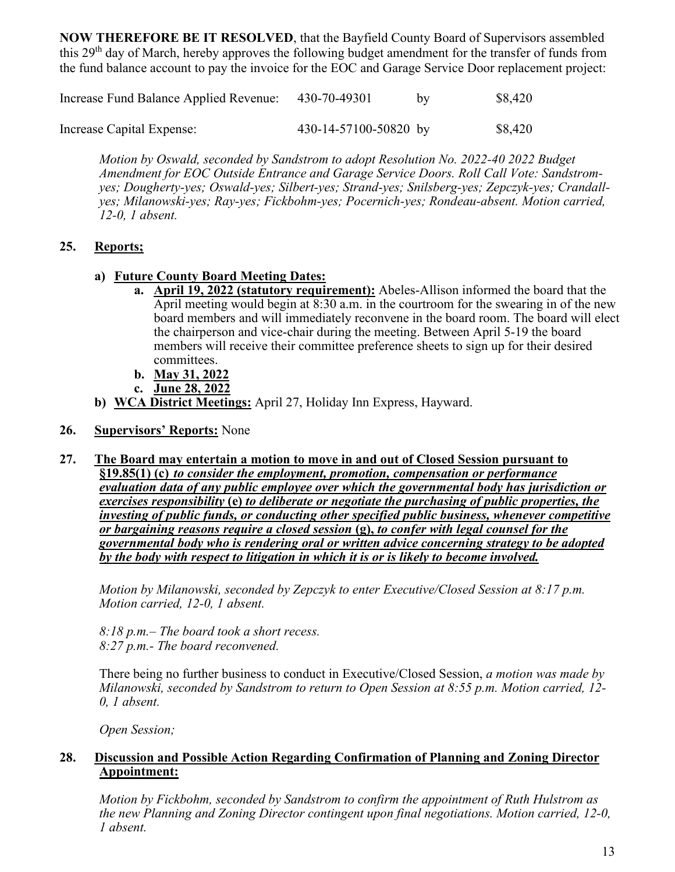**NOW THEREFORE BE IT RESOLVED**, that the Bayfield County Board of Supervisors assembled this 29<sup>th</sup> day of March, hereby approves the following budget amendment for the transfer of funds from the fund balance account to pay the invoice for the EOC and Garage Service Door replacement project:

| Increase Fund Balance Applied Revenue: | 430-70-49301          | bv | \$8,420 |
|----------------------------------------|-----------------------|----|---------|
| Increase Capital Expense:              | 430-14-57100-50820 by |    | \$8,420 |

*Motion by Oswald, seconded by Sandstrom to adopt Resolution No. 2022-40 2022 Budget Amendment for EOC Outside Entrance and Garage Service Doors. Roll Call Vote: Sandstromyes; Dougherty-yes; Oswald-yes; Silbert-yes; Strand-yes; Snilsberg-yes; Zepczyk-yes; Crandallyes; Milanowski-yes; Ray-yes; Fickbohm-yes; Pocernich-yes; Rondeau-absent. Motion carried, 12-0, 1 absent.*

## **25. Reports;**

- **a) Future County Board Meeting Dates:**
	- **a. April 19, 2022 (statutory requirement):** Abeles-Allison informed the board that the April meeting would begin at 8:30 a.m. in the courtroom for the swearing in of the new board members and will immediately reconvene in the board room. The board will elect the chairperson and vice-chair during the meeting. Between April 5-19 the board members will receive their committee preference sheets to sign up for their desired committees.
	- **b. May 31, 2022**
	- **c. June 28, 2022**
- **b) WCA District Meetings:** April 27, Holiday Inn Express, Hayward.
- **26. Supervisors' Reports:** None

#### **27. The Board may entertain a motion to move in and out of Closed Session pursuant to**

**§19.85(1) (c)** *to consider the employment, promotion, compensation or performance evaluation data of any public employee over which the governmental body has jurisdiction or exercises responsibility* **(e)** *to deliberate or negotiate the purchasing of public properties, the investing of public funds, or conducting other specified public business, whenever competitive or bargaining reasons require a closed session* **(g),** *to confer with legal counsel for the governmental body who is rendering oral or written advice concerning strategy to be adopted by the body with respect to litigation in which it is or is likely to become involved.*

*Motion by Milanowski, seconded by Zepczyk to enter Executive/Closed Session at 8:17 p.m. Motion carried, 12-0, 1 absent.*

*8:18 p.m.– The board took a short recess. 8:27 p.m.- The board reconvened.* 

There being no further business to conduct in Executive/Closed Session, *a motion was made by Milanowski, seconded by Sandstrom to return to Open Session at 8:55 p.m. Motion carried, 12- 0, 1 absent.*

*Open Session;* 

#### **28. Discussion and Possible Action Regarding Confirmation of Planning and Zoning Director Appointment:**

*Motion by Fickbohm, seconded by Sandstrom to confirm the appointment of Ruth Hulstrom as the new Planning and Zoning Director contingent upon final negotiations. Motion carried, 12-0, 1 absent.*